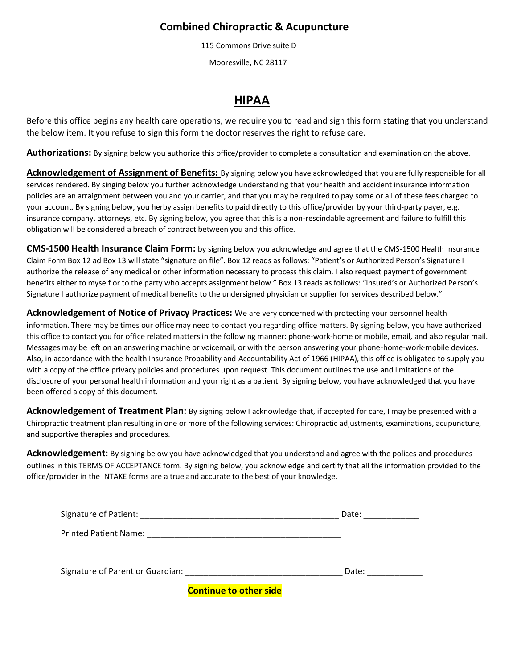## **Combined Chiropractic & Acupuncture**

115 Commons Drive suite D

Mooresville, NC 28117

# **HIPAA**

Before this office begins any health care operations, we require you to read and sign this form stating that you understand the below item. It you refuse to sign this form the doctor reserves the right to refuse care.

**Authorizations:** By signing below you authorize this office/provider to complete a consultation and examination on the above.

**Acknowledgement of Assignment of Benefits:** By signing below you have acknowledged that you are fully responsible for all services rendered. By singing below you further acknowledge understanding that your health and accident insurance information policies are an arraignment between you and your carrier, and that you may be required to pay some or all of these fees charged to your account. By signing below, you herby assign benefits to paid directly to this office/provider by your third-party payer, e.g. insurance company, attorneys, etc. By signing below, you agree that this is a non-rescindable agreement and failure to fulfill this obligation will be considered a breach of contract between you and this office.

**CMS-1500 Health Insurance Claim Form:** by signing below you acknowledge and agree that the CMS-1500 Health Insurance Claim Form Box 12 ad Box 13 will state "signature on file". Box 12 reads as follows: "Patient's or Authorized Person's Signature I authorize the release of any medical or other information necessary to process this claim. I also request payment of government benefits either to myself or to the party who accepts assignment below." Box 13 reads as follows: "Insured's or Authorized Person's Signature I authorize payment of medical benefits to the undersigned physician or supplier for services described below."

**Acknowledgement of Notice of Privacy Practices:** We are very concerned with protecting your personnel health information. There may be times our office may need to contact you regarding office matters. By signing below, you have authorized this office to contact you for office related matters in the following manner: phone-work-home or mobile, email, and also regular mail. Messages may be left on an answering machine or voicemail, or with the person answering your phone-home-work-mobile devices. Also, in accordance with the health Insurance Probability and Accountability Act of 1966 (HIPAA), this office is obligated to supply you with a copy of the office privacy policies and procedures upon request. This document outlines the use and limitations of the disclosure of your personal health information and your right as a patient. By signing below, you have acknowledged that you have been offered a copy of this document.

**Acknowledgement of Treatment Plan:** By signing below I acknowledge that, if accepted for care, I may be presented with a Chiropractic treatment plan resulting in one or more of the following services: Chiropractic adjustments, examinations, acupuncture, and supportive therapies and procedures.

Acknowledgement: By signing below you have acknowledged that you understand and agree with the polices and procedures outlines in this TERMS OF ACCEPTANCE form. By signing below, you acknowledge and certify that all the information provided to the office/provider in the INTAKE forms are a true and accurate to the best of your knowledge.

|                                                                   | Date: |
|-------------------------------------------------------------------|-------|
| <b>Printed Patient Name:</b>                                      |       |
| Signature of Parent or Guardian: Signature of Parent or Guardian: | Date: |

 **Continue to other side**